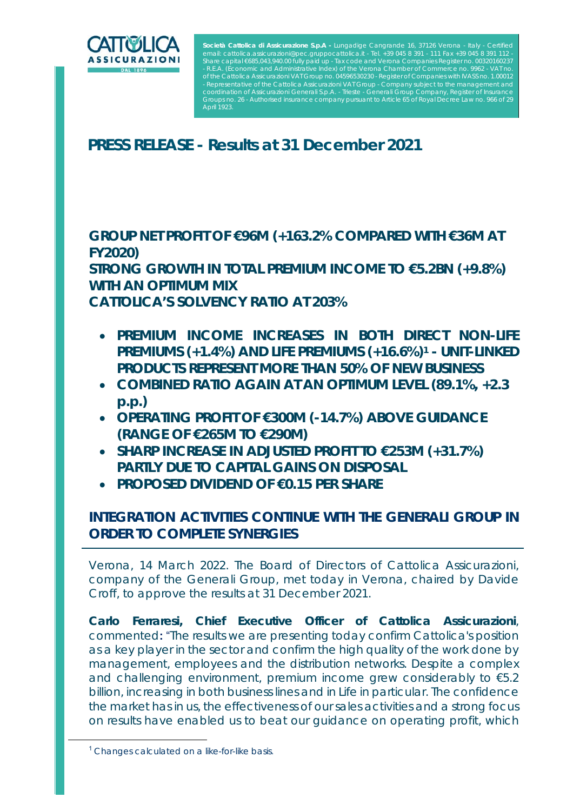

Società Cattolica di Assicurazione S.p.A - Lungadige Cangrande - R.E.A. (Economic and Administrative Index) of the Verona Chamber of Commerce no. 9962 - VAT no. of the Cattolica Assicurazioni VAT Group no. 04596530230 - Register of Companies with IVASS no. 1.00012 sentative of the Cattolica Assicurazioni VAT Group nation of Assicurazioni Generali S.p.A. Groups no. 26 - Authorised insurance company pursuant to Article 65 of Royal Decree Law no. 966 of 29 April 1923.

# **PRESS RELEASE - Results at 31 December 2021**

**GROUP NET PROFIT OF €96M (+163.2% COMPARED WITH €36M AT FY2020)** 

**STRONG GROWTH IN TOTAL PREMIUM INCOME TO €5.2BN (+9.8%) WITH AN OPTIMUM MIX** 

**CATTOLICA'S SOLVENCY RATIO AT 203%** 

- **PREMIUM INCOME INCREASES IN BOTH DIRECT NON-LIFE PREMIUMS (+1.4%) AND LIFE PREMIUMS (+16.6%)1 - UNIT-LINKED PRODUCTS REPRESENT MORE THAN 50% OF NEW BUSINESS**
- **COMBINED RATIO AGAIN AT AN OPTIMUM LEVEL (89.1%, +2.3 p.p.)**
- **OPERATING PROFIT OF €300M (-14.7%) ABOVE GUIDANCE (RANGE OF €265M TO €290M)**
- **SHARP INCREASE IN ADJUSTED PROFIT TO €253M (+31.7%) PARTLY DUE TO CAPITAL GAINS ON DISPOSAL**
- **PROPOSED DIVIDEND OF €0.15 PER SHARE**

## **INTEGRATION ACTIVITIES CONTINUE WITH THE GENERALI GROUP IN ORDER TO COMPLETE SYNERGIES**

*Verona, 14 March 2022.* The Board of Directors of Cattolica Assicurazioni, company of the Generali Group, met today in Verona, chaired by Davide Croff, to approve the results at 31 December 2021.

**Carlo Ferraresi, Chief Executive Officer of Cattolica Assicurazioni**, commented**:** "*The results we are presenting today confirm Cattolica's position as a key player in the sector and confirm the high quality of the work done by management, employees and the distribution networks. Despite a complex and challenging environment, premium income grew considerably to €5.2 billion, increasing in both business lines and in Life in particular. The confidence the market has in us, the effectiveness of our sales activities and a strong focus on results have enabled us to beat our guidance on operating profit, which* 

<sup>&</sup>lt;sup>1</sup> Changes calculated on a like-for-like basis.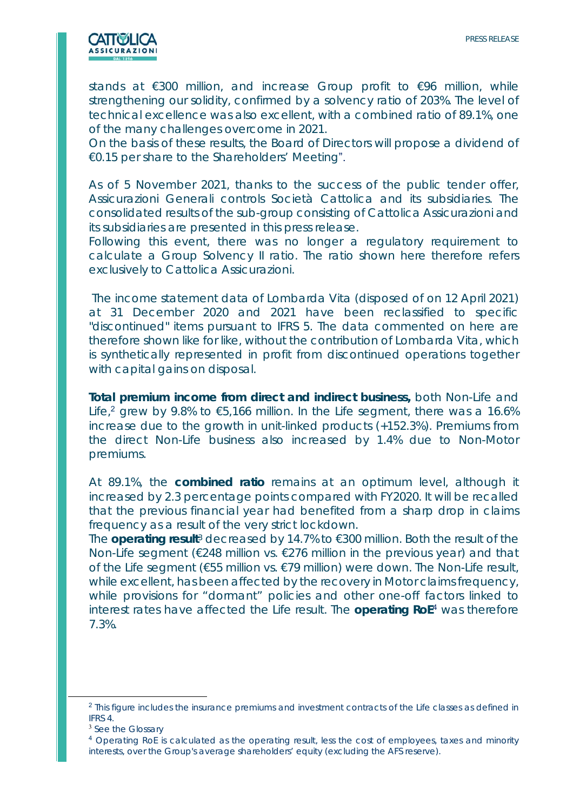

*stands at €300 million, and increase Group profit to €96 million, while strengthening our solidity, confirmed by a solvency ratio of 203%. The level of technical excellence was also excellent, with a combined ratio of 89.1%, one of the many challenges overcome in 2021.* 

*On the basis of these results, the Board of Directors will propose a dividend of €0.15 per share to the Shareholders' Meeting*".

As of 5 November 2021, thanks to the success of the public tender offer, Assicurazioni Generali controls Società Cattolica and its subsidiaries. The consolidated results of the sub-group consisting of Cattolica Assicurazioni and its subsidiaries are presented in this press release.

Following this event, there was no longer a regulatory requirement to calculate a Group Solvency II ratio. The ratio shown here therefore refers exclusively to Cattolica Assicurazioni.

 The income statement data of Lombarda Vita (disposed of on 12 April 2021) at 31 December 2020 and 2021 have been reclassified to specific "discontinued" items pursuant to IFRS 5. The data commented on here are therefore shown like for like, without the contribution of Lombarda Vita, which is synthetically represented in profit from discontinued operations together with capital gains on disposal.

**Total premium income from direct and indirect business,** both Non-Life and Life,<sup>2</sup> grew by 9.8% to  $\epsilon$ 5,166 million. In the Life segment, there was a 16.6% increase due to the growth in unit-linked products (+152.3%). Premiums from the direct Non-Life business also increased by 1.4% due to Non-Motor premiums.

At 89.1%, the **combined ratio** remains at an optimum level, although it increased by 2.3 percentage points compared with FY2020. It will be recalled that the previous financial year had benefited from a sharp drop in claims frequency as a result of the very strict lockdown.

The **operating result**3 decreased by 14.7% to €300 million. Both the result of the Non-Life segment ( $\epsilon$ 248 million vs.  $\epsilon$ 276 million in the previous year) and that of the Life segment (€55 million vs. €79 million) were down. The Non-Life result, while excellent, has been affected by the recovery in Motor claims frequency, while provisions for "dormant" policies and other one-off factors linked to interest rates have affected the Life result. The **operating RoE**<sup>4</sup> was therefore 7.3%.

<sup>&</sup>lt;sup>2</sup> This figure includes the insurance premiums and investment contracts of the Life classes as defined in IFRS 4.

<sup>&</sup>lt;sup>3</sup> See the Glossary

<sup>4</sup> Operating RoE is calculated as the operating result, less the cost of employees, taxes and minority interests, over the Group's average shareholders' equity (excluding the AFS reserve).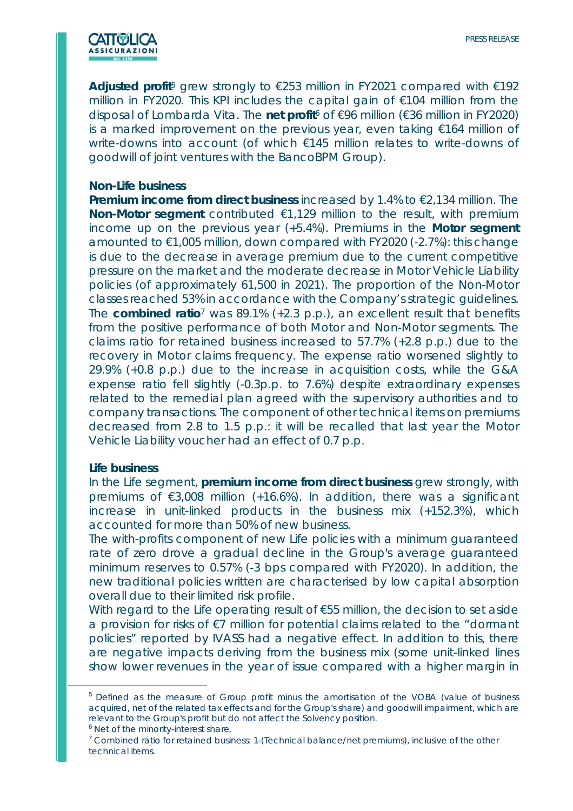

**Adjusted profit**5 grew strongly to €253 million in FY2021 compared with €192 million in FY2020. This KPI includes the capital gain of €104 million from the disposal of Lombarda Vita. The **net profit**6 of €96 million (€36 million in FY2020) is a marked improvement on the previous year, even taking €164 million of write-downs into account (of which €145 million relates to write-downs of goodwill of joint ventures with the BancoBPM Group).

### **Non-Life business**

**Premium income from direct business** increased by 1.4% to €2,134 million. The **Non-Motor segment** contributed €1,129 million to the result, with premium income up on the previous year (+5.4%). Premiums in the **Motor segment** amounted to €1,005 million, down compared with FY2020 (-2.7%): this change is due to the decrease in average premium due to the current competitive pressure on the market and the moderate decrease in Motor Vehicle Liability policies (of approximately 61,500 in 2021). The proportion of the Non-Motor classes reached 53% in accordance with the Company's strategic guidelines. The **combined ratio**7 was 89.1% (+2.3 p.p.), an excellent result that benefits from the positive performance of both Motor and Non-Motor segments. The claims ratio for retained business increased to 57.7% (+2.8 p.p.) due to the recovery in Motor claims frequency. The expense ratio worsened slightly to 29.9% (+0.8 p.p.) due to the increase in acquisition costs, while the G&A expense ratio fell slightly (-0.3p.p. to 7.6%) despite extraordinary expenses related to the remedial plan agreed with the supervisory authorities and to company transactions. The component of other technical items on premiums decreased from 2.8 to 1.5 p.p.: it will be recalled that last year the Motor Vehicle Liability voucher had an effect of 0.7 p.p.

#### **Life business**

In the Life segment, **premium income from direct business** grew strongly, with premiums of €3,008 million (+16.6%). In addition, there was a significant increase in unit-linked products in the business mix (+152.3%), which accounted for more than 50% of new business.

The with-profits component of new Life policies with a minimum guaranteed rate of zero drove a gradual decline in the Group's average guaranteed minimum reserves to 0.57% (-3 bps compared with FY2020). In addition, the new traditional policies written are characterised by low capital absorption overall due to their limited risk profile.

With regard to the Life operating result of €55 million, the decision to set aside a provision for risks of €7 million for potential claims related to the "dormant policies" reported by IVASS had a negative effect. In addition to this, there are negative impacts deriving from the business mix (some unit-linked lines show lower revenues in the year of issue compared with a higher margin in

<sup>&</sup>lt;sup>5</sup> Defined as the measure of Group profit minus the amortisation of the VOBA (value of business acquired, net of the related tax effects and for the Group's share) and goodwill impairment, which are relevant to the Group's profit but do not affect the Solvency position.

 $6$  Net of the minority-interest share.<br><sup>7</sup> Combined ratio for retained business: 1-(Technical balance/net premiums), inclusive of the other technical items.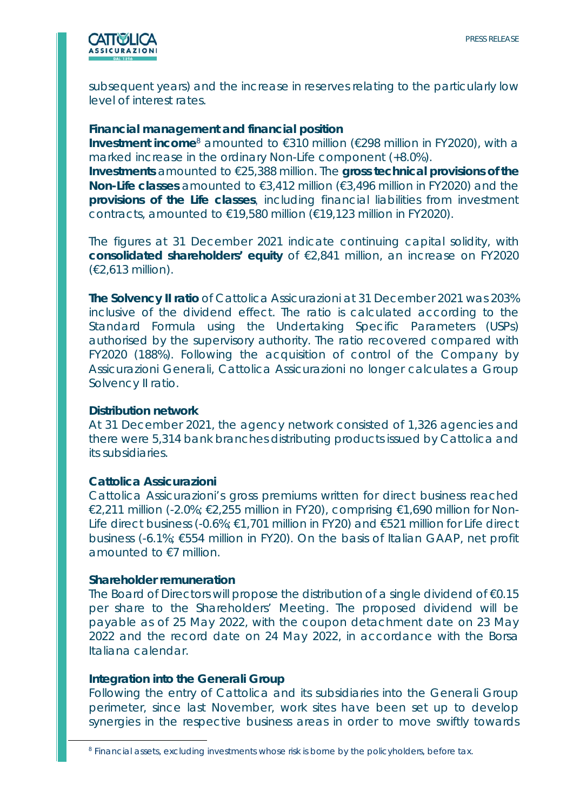

subsequent years) and the increase in reserves relating to the particularly low level of interest rates.

## **Financial management and financial position**

**Investment income**<sup>8</sup> amounted to €310 million (€298 million in FY2020), with a marked increase in the ordinary Non-Life component (+8.0%).

**Investments** amounted to €25,388 million. The **gross technical provisions of the Non-Life classes** amounted to €3,412 million (€3,496 million in FY2020) and the **provisions of the Life classes**, including financial liabilities from investment contracts, amounted to €19,580 million (€19,123 million in FY2020).

The figures at 31 December 2021 indicate continuing capital solidity, with **consolidated shareholders' equity** of €2,841 million, an increase on FY2020 (€2,613 million).

**The Solvency II ratio** of Cattolica Assicurazioni at 31 December 2021 was 203% inclusive of the dividend effect. The ratio is calculated according to the Standard Formula using the Undertaking Specific Parameters (USPs) authorised by the supervisory authority. The ratio recovered compared with FY2020 (188%). Following the acquisition of control of the Company by Assicurazioni Generali, Cattolica Assicurazioni no longer calculates a Group Solvency II ratio.

#### **Distribution network**

At 31 December 2021, the agency network consisted of 1,326 agencies and there were 5,314 bank branches distributing products issued by Cattolica and its subsidiaries.

## **Cattolica Assicurazioni**

Cattolica Assicurazioni's gross premiums written for direct business reached €2,211 million (-2.0%; €2,255 million in FY20), comprising €1,690 million for Non-Life direct business (-0.6%; €1,701 million in FY20) and €521 million for Life direct business (-6.1%; €554 million in FY20). On the basis of Italian GAAP, net profit amounted to €7 million.

#### **Shareholder remuneration**

The Board of Directors will propose the distribution of a single dividend of €0.15 per share to the Shareholders' Meeting. The proposed dividend will be payable as of 25 May 2022, with the coupon detachment date on 23 May 2022 and the record date on 24 May 2022, in accordance with the Borsa Italiana calendar.

## **Integration into the Generali Group**

Following the entry of Cattolica and its subsidiaries into the Generali Group perimeter, since last November, work sites have been set up to develop synergies in the respective business areas in order to move swiftly towards

<sup>8</sup> Financial assets, excluding investments whose risk is borne by the policyholders, before tax.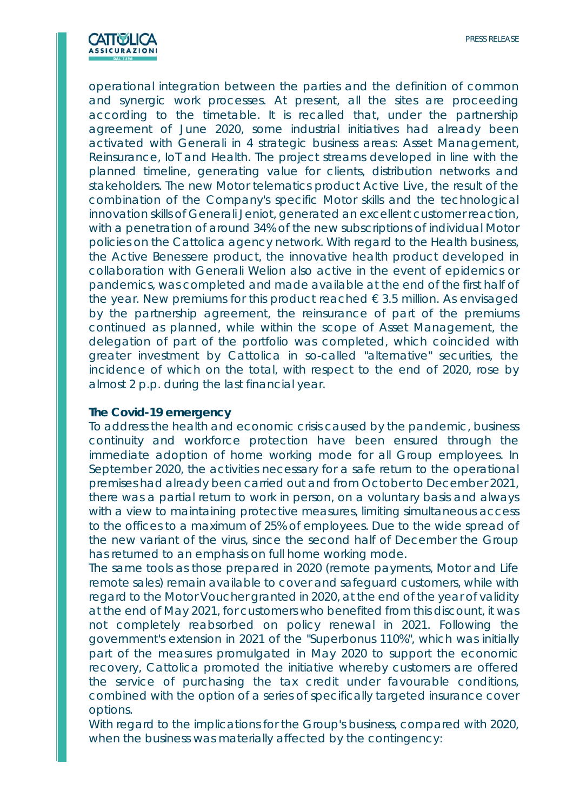

operational integration between the parties and the definition of common and synergic work processes. At present, all the sites are proceeding according to the timetable. It is recalled that, under the partnership agreement of June 2020, some industrial initiatives had already been activated with Generali in 4 strategic business areas: Asset Management, Reinsurance, IoT and Health. The project streams developed in line with the planned timeline, generating value for clients, distribution networks and stakeholders. The new Motor telematics product *Active Live*, the result of the combination of the Company's specific Motor skills and the technological innovation skills of Generali Jeniot, generated an excellent customer reaction, with a penetration of around 34% of the new subscriptions of individual Motor policies on the Cattolica agency network. With regard to the Health business, the *Active Benessere* product, the innovative health product developed in collaboration with Generali Welion also active in the event of epidemics or pandemics, was completed and made available at the end of the first half of the year. New premiums for this product reached  $\epsilon$  3.5 million. As envisaged by the partnership agreement, the reinsurance of part of the premiums continued as planned, while within the scope of Asset Management, the delegation of part of the portfolio was completed, which coincided with greater investment by Cattolica in so-called "alternative" securities, the incidence of which on the total, with respect to the end of 2020, rose by almost 2 p.p. during the last financial year.

#### **The Covid-19 emergency**

To address the health and economic crisis caused by the pandemic, business continuity and workforce protection have been ensured through the immediate adoption of home working mode for all Group employees. In September 2020, the activities necessary for a safe return to the operational premises had already been carried out and from October to December 2021, there was a partial return to work in person, on a voluntary basis and always with a view to maintaining protective measures, limiting simultaneous access to the offices to a maximum of 25% of employees. Due to the wide spread of the new variant of the virus, since the second half of December the Group has returned to an emphasis on full home working mode.

The same tools as those prepared in 2020 (remote payments, Motor and Life remote sales) remain available to cover and safeguard customers, while with regard to the Motor Voucher granted in 2020, at the end of the year of validity at the end of May 2021, for customers who benefited from this discount, it was not completely reabsorbed on policy renewal in 2021. Following the government's extension in 2021 of the "Superbonus 110%", which was initially part of the measures promulgated in May 2020 to support the economic recovery, Cattolica promoted the initiative whereby customers are offered the service of purchasing the tax credit under favourable conditions, combined with the option of a series of specifically targeted insurance cover options.

With regard to the implications for the Group's business, compared with 2020, when the business was materially affected by the contingency: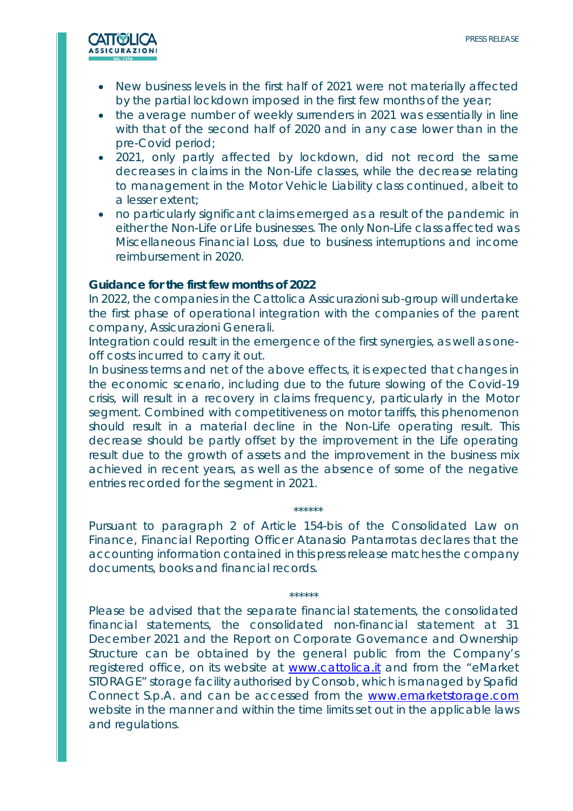

- New business levels in the first half of 2021 were not materially affected by the partial lockdown imposed in the first few months of the year;
- the average number of weekly surrenders in 2021 was essentially in line with that of the second half of 2020 and in any case lower than in the pre-Covid period;
- 2021, only partly affected by lockdown, did not record the same decreases in claims in the Non-Life classes, while the decrease relating to management in the Motor Vehicle Liability class continued, albeit to a lesser extent;
- no particularly significant claims emerged as a result of the pandemic in either the Non-Life or Life businesses. The only Non-Life class affected was Miscellaneous Financial Loss, due to business interruptions and income reimbursement in 2020.

#### **Guidance for the first few months of 2022**

In 2022, the companies in the Cattolica Assicurazioni sub-group will undertake the first phase of operational integration with the companies of the parent company, Assicurazioni Generali.

Integration could result in the emergence of the first synergies, as well as oneoff costs incurred to carry it out.

In business terms and net of the above effects, it is expected that changes in the economic scenario, including due to the future slowing of the Covid-19 crisis, will result in a recovery in claims frequency, particularly in the Motor segment. Combined with competitiveness on motor tariffs, this phenomenon should result in a material decline in the Non-Life operating result. This decrease should be partly offset by the improvement in the Life operating result due to the growth of assets and the improvement in the business mix achieved in recent years, as well as the absence of some of the negative entries recorded for the segment in 2021.

Pursuant to paragraph 2 of Article 154-*bis* of the Consolidated Law on Finance, Financial Reporting Officer Atanasio Pantarrotas declares that the accounting information contained in this press release matches the company documents, books and financial records.

\*\*\*\*\*\*

\*\*\*\*\*\*

Please be advised that the separate financial statements, the consolidated financial statements, the consolidated non-financial statement at 31 December 2021 and the Report on Corporate Governance and Ownership Structure can be obtained by the general public from the Company's registered office, on its website at www.cattolica.it and from the "eMarket STORAGE" storage facility authorised by Consob, which is managed by Spafid Connect S.p.A. and can be accessed from the www.emarketstorage.com website in the manner and within the time limits set out in the applicable laws and regulations.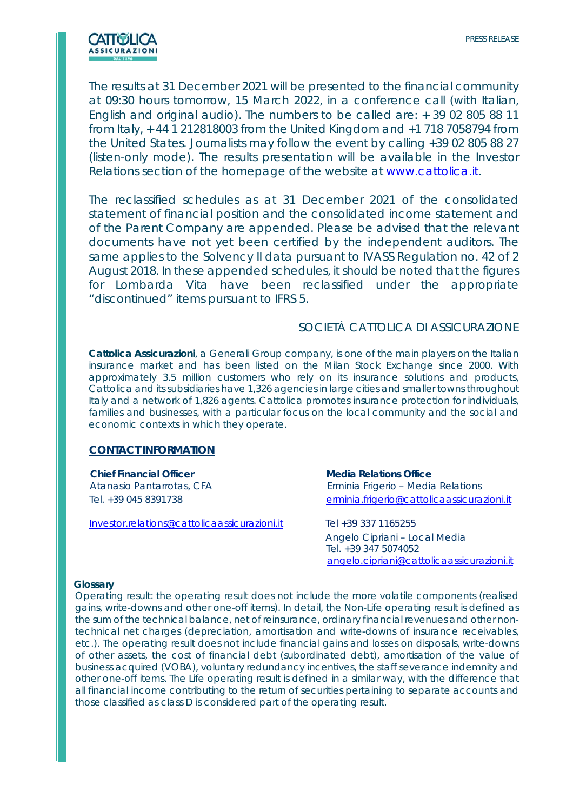

The results at 31 December 2021 will be presented to the financial community at 09:30 hours tomorrow, 15 March 2022, in a conference call (with Italian, English and original audio). The numbers to be called are: + 39 02 805 88 11 from Italy, + 44 1 212818003 from the United Kingdom and +1 718 7058794 from the United States. Journalists may follow the event by calling +39 02 805 88 27 (listen-only mode). The results presentation will be available in the Investor Relations section of the homepage of the website at www.cattolica.it.

*The reclassified schedules as at 31 December 2021 of the consolidated statement of financial position and the consolidated income statement and of the Parent Company are appended. Please be advised that the relevant documents have not yet been certified by the independent auditors. The same applies to the Solvency II data pursuant to IVASS Regulation no. 42 of 2 August 2018. In these appended schedules, it should be noted that the figures for Lombarda Vita have been reclassified under the appropriate "discontinued" items pursuant to IFRS 5.* 

## SOCIETÁ CATTOLICA DI ASSICURAZIONE

*Cattolica Assicurazioni, a Generali Group company, is one of the main players on the Italian insurance market and has been listed on the Milan Stock Exchange since 2000. With approximately 3.5 million customers who rely on its insurance solutions and products, Cattolica and its subsidiaries have 1,326 agencies in large cities and smaller towns throughout Italy and a network of 1,826 agents. Cattolica promotes insurance protection for individuals,*  families and businesses, with a particular focus on the local community and the social and *economic contexts in which they operate.*

#### **CONTACT INFORMATION**

 **Chief Financial Officer Media Relations Office** 

Investor.relations@cattolicaassicurazioni.it Tel +39 337 1165255

Atanasio Pantarrotas, CFA Erminia Frigerio – Media Relations Tel. +39 045 8391738 erminia.frigerio@cattolicaassicurazioni.it

> Angelo Cipriani – Local Media Tel. +39 347 5074052 angelo.cipriani@cattolicaassicurazioni.it

#### **Glossary**

Operating result: the operating result does not include the more volatile components (realised gains, write-downs and other one-off items). In detail, the Non-Life operating result is defined as the sum of the technical balance, net of reinsurance, ordinary financial revenues and other nontechnical net charges (depreciation, amortisation and write-downs of insurance receivables, etc.). The operating result does not include financial gains and losses on disposals, write-downs of other assets, the cost of financial debt (subordinated debt), amortisation of the value of business acquired (VOBA), voluntary redundancy incentives, the staff severance indemnity and other one-off items. The Life operating result is defined in a similar way, with the difference that all financial income contributing to the return of securities pertaining to separate accounts and those classified as class D is considered part of the operating result.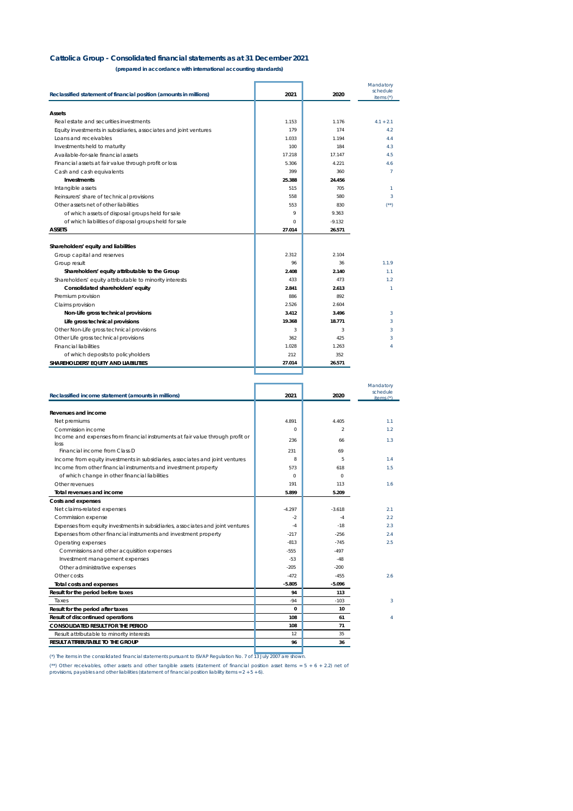#### **Cattolica Group - Consolidated financial statements as at 31 December 2021**

**(prepared in accordance with international accounting standards)**

| Reclassified statement of financial position (amounts in millions) | 2021   | 2020     | Mandatory<br>schedule<br>items $(')$ |
|--------------------------------------------------------------------|--------|----------|--------------------------------------|
| <b>Assets</b>                                                      |        |          |                                      |
| Real estate and securities investments                             | 1.153  | 1.176    | $4.1 + 2.1$                          |
| Equity investments in subsidiaries, associates and joint ventures  | 179    | 174      | 4.2                                  |
| Loans and receivables                                              | 1.033  | 1.194    | 4.4                                  |
| Investments held to maturity                                       | 100    | 184      | 4.3                                  |
| Available-for-sale financial assets                                | 17.218 | 17.147   | 4.5                                  |
| Financial assets at fair value through profit or loss              | 5.306  | 4.221    | 4.6                                  |
| Cash and cash equivalents                                          | 399    | 360      | $\overline{7}$                       |
| <b>Investments</b>                                                 | 25.388 | 24.456   |                                      |
| Intangible assets                                                  | 515    | 705      | $\mathcal{I}$                        |
| Reinsurers' share of technical provisions                          | 558    | 580      | 3                                    |
| Other assets net of other liabilities                              | 553    | 830      | (1)                                  |
| of which assets of disposal groups held for sale                   | 9      | 9.363    |                                      |
| of which liabilities of disposal groups held for sale              | 0      | $-9.132$ |                                      |
| <b>ASSETS</b>                                                      | 27.014 | 26.571   |                                      |
| Shareholders' equity and liabilities                               |        |          |                                      |
| Group capital and reserves                                         | 2.312  | 2.104    |                                      |
| Group result                                                       | 96     | 36       | 1.1.9                                |
| Shareholders' equity attributable to the Group                     | 2.408  | 2.140    | 1.1                                  |
| Shareholders' equity attributable to minority interests            | 433    | 473      | 1.2                                  |
| Consolidated shareholders' equity                                  | 2.841  | 2.613    | $\mathcal{I}$                        |
| Premium provision                                                  | 886    | 892      |                                      |
| Claims provision                                                   | 2.526  | 2.604    |                                      |
| Non-Life gross technical provisions                                | 3.412  | 3.496    | 3                                    |
| Life gross technical provisions                                    | 19.368 | 18.771   | 3                                    |
| Other Non-Life gross technical provisions                          | 3      | 3        | 3                                    |
| Other Life gross technical provisions                              | 362    | 425      | 3                                    |
| <b>Financial liabilities</b>                                       | 1.028  | 1.263    | 4                                    |
| of which deposits to policyholders                                 | 212    | 352      |                                      |
| SHAREHOLDERS' EQUITY AND LIABILITIES                               | 27.014 | 26.571   |                                      |
|                                                                    |        |          |                                      |

|                                                                                 |          |          | Mandatory<br>schedule |
|---------------------------------------------------------------------------------|----------|----------|-----------------------|
| Reclassified income statement (amounts in millions)                             | 2021     | 2020     | items $(*)$           |
|                                                                                 |          |          |                       |
| Revenues and income                                                             |          |          |                       |
| Net premiums                                                                    | 4.891    | 4.405    | 1.1                   |
| Commission income                                                               | $\Omega$ | 2        | 1.2                   |
| Income and expenses from financial instruments at fair value through profit or  | 236      | 66       | 1.3                   |
| loss<br>Financial income from Class D                                           | 231      | 69       |                       |
| Income from equity investments in subsidiaries, associates and joint ventures   | 8        | 5        | 1.4                   |
| Income from other financial instruments and investment property                 | 573      | 618      | 1.5                   |
| of which change in other financial liabilities                                  | 0        | 0        |                       |
| Other revenues                                                                  | 191      | 113      | 1.6                   |
| Total revenues and income                                                       | 5.899    | 5.209    |                       |
| Costs and expenses                                                              |          |          |                       |
| Net claims-related expenses                                                     | $-4.297$ | $-3.618$ | 2.1                   |
| Commission expense                                                              | $-2$     | $-4$     | 2.2                   |
| Expenses from equity investments in subsidiaries, associates and joint ventures | $-4$     | $-18$    | 2.3                   |
| Expenses from other financial instruments and investment property               | $-217$   | $-256$   | 2.4                   |
| Operating expenses                                                              | $-813$   | $-745$   | 2.5                   |
| Commissions and other acquisition expenses                                      | $-555$   | $-497$   |                       |
| Investment management expenses                                                  | $-5.3$   | $-48$    |                       |
| Other administrative expenses                                                   | $-20.5$  | -200     |                       |
| Other costs                                                                     | $-472$   | $-455$   | 26                    |
| <b>Total costs and expenses</b>                                                 | $-5.805$ | $-5.096$ |                       |
| Result for the period before taxes                                              | 94       | 113      |                       |
| Taxes                                                                           | $-94$    | $-103$   | 3                     |
| Result for the period after taxes                                               | $\Omega$ | 10       |                       |
| Result of discontinued operations                                               | 108      | 61       |                       |
| <b>CONSOLIDATED RESULT FOR THE PERIOD</b>                                       | 108      | 71       |                       |
| Result attributable to minority interests                                       | 12       | 35       |                       |
| <b>RESULT ATTRIBUTABLE TO THE GROUP</b>                                         | 96       | 36       |                       |
|                                                                                 |          |          |                       |

*(\*) The items in the consolidated financial statements pursuant to ISVAP Regulation No. 7 of 13 July 2007 are shown.*

(\*\*) Other receivables, other assets and other tangible assets (statement of financial position asset items = 5 + 6 + 2.2) net ol<br>provisions, payables and other liabilities (statement of financial position liability items